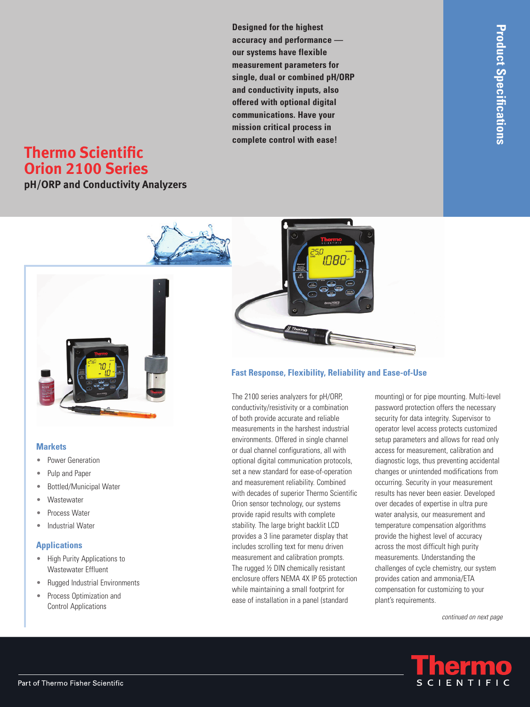**Designed for the highest accuracy and performance our systems have flexible measurement parameters for single, dual or combined pH/ORP and conductivity inputs, also offered with optional digital communications. Have your mission critical process in complete control with ease!**

# **Thermo Scientific Orion 2100 Series**

**pH/ORP and Conductivity Analyzers**



#### **Markets**

- Power Generation •
- Pulp and Paper •
- Bottled/Municipal Water •
- **Wastewater** •
- Process Water •
- Industrial Water •

#### **Applications**

- High Purity Applications to Wastewater Effluent
- Rugged Industrial Environments •
- Process Optimization and Control Applications •



## **Fast Response, Flexibility, Reliability and Ease-of-Use**

The 2100 series analyzers for pH/ORP, conductivity/resistivity or a combination of both provide accurate and reliable measurements in the harshest industrial environments. Offered in single channel or dual channel configurations, all with optional digital communication protocols, set a new standard for ease-of-operation and measurement reliability. Combined with decades of superior Thermo Scientific Orion sensor technology, our systems provide rapid results with complete stability. The large bright backlit LCD provides a 3 line parameter display that includes scrolling text for menu driven measurement and calibration prompts. The rugged ½ DIN chemically resistant enclosure offers NEMA 4X IP 65 protection while maintaining a small footprint for ease of installation in a panel (standard

mounting) or for pipe mounting. Multi-level password protection offers the necessary security for data integrity. Supervisor to operator level access protects customized setup parameters and allows for read only access for measurement, calibration and diagnostic logs, thus preventing accidental changes or unintended modifications from occurring. Security in your measurement results has never been easier. Developed over decades of expertise in ultra pure water analysis, our measurement and temperature compensation algorithms provide the highest level of accuracy across the most difficult high purity measurements. Understanding the challenges of cycle chemistry, our system provides cation and ammonia/ETA compensation for customizing to your plant's requirements.

*continued on next page*

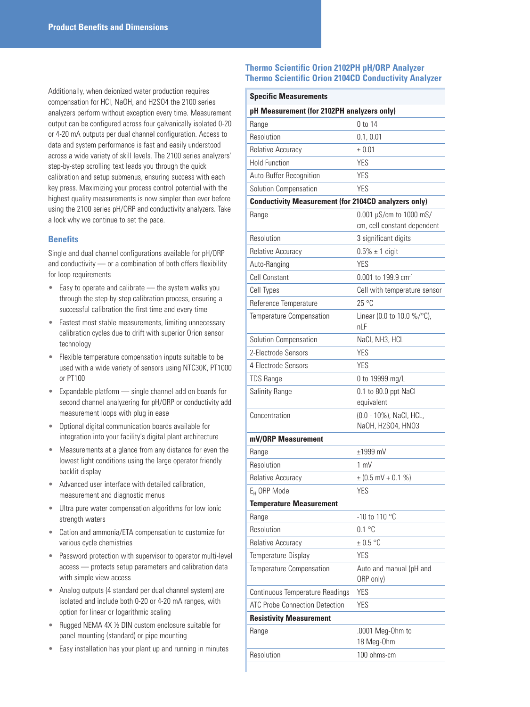Additionally, when deionized water production requires compensation for HCl, NaOH, and H2SO4 the 2100 series analyzers perform without exception every time. Measurement output can be configured across four galvanically isolated 0-20 or 4-20 mA outputs per dual channel configuration. Access to data and system performance is fast and easily understood across a wide variety of skill levels. The 2100 series analyzers' step-by-step scrolling text leads you through the quick calibration and setup submenus, ensuring success with each key press. Maximizing your process control potential with the highest quality measurements is now simpler than ever before using the 2100 series pH/ORP and conductivity analyzers. Take a look why we continue to set the pace.

#### **Benefits**

Single and dual channel configurations available for pH/ORP and conductivity — or a combination of both offers flexibility for loop requirements

- Easy to operate and calibrate the system walks you through the step-by-step calibration process, ensuring a successful calibration the first time and every time
- Fastest most stable measurements, limiting unnecessary calibration cycles due to drift with superior Orion sensor technology
- Flexible temperature compensation inputs suitable to be used with a wide variety of sensors using NTC30K, PT1000 or PT100 •
- Expandable platform single channel add on boards for second channel analyzering for pH/ORP or conductivity add measurement loops with plug in ease
- Optional digital communication boards available for integration into your facility's digital plant architecture •
- Measurements at a glance from any distance for even the lowest light conditions using the large operator friendly backlit display •
- Advanced user interface with detailed calibration, measurement and diagnostic menus
- Ultra pure water compensation algorithms for low ionic strength waters •
- Cation and ammonia/ETA compensation to customize for various cycle chemistries
- Password protection with supervisor to operator multi-level access — protects setup parameters and calibration data with simple view access •
- Analog outputs (4 standard per dual channel system) are isolated and include both 0-20 or 4-20 mA ranges, with option for linear or logarithmic scaling
- Rugged NEMA 4X ½ DIN custom enclosure suitable for panel mounting (standard) or pipe mounting
- Easy installation has your plant up and running in minutes •

#### **Thermo Scientific Orion 2102PH pH/ORP Analyzer Thermo Scientific Orion 2104CD Conductivity Analyzer**

#### **Specific Measurements**

| pH Measurement (for 2102PH analyzers only)                  |                                              |  |
|-------------------------------------------------------------|----------------------------------------------|--|
| Range                                                       | 0 to 14                                      |  |
| Resolution                                                  | 0.1, 0.01                                    |  |
| Relative Accuracy                                           | ± 0.01                                       |  |
| <b>Hold Function</b>                                        | YES                                          |  |
| Auto-Buffer Recognition                                     | YES                                          |  |
| Solution Compensation                                       | YES                                          |  |
| <b>Conductivity Measurement (for 2104CD analyzers only)</b> |                                              |  |
| Range                                                       | 0.001 µS/cm to 1000 mS/                      |  |
|                                                             | cm, cell constant dependent                  |  |
| Resolution                                                  | 3 significant digits                         |  |
| <b>Relative Accuracy</b>                                    | $0.5\% \pm 1$ digit                          |  |
| Auto-Ranging                                                | YES                                          |  |
| <b>Cell Constant</b>                                        | 0.001 to 199.9 cm-1                          |  |
| Cell Types                                                  | Cell with temperature sensor                 |  |
| Reference Temperature                                       | 25°C                                         |  |
| Temperature Compensation                                    | Linear (0.0 to 10.0 %/ $^{\circ}$ C),<br>nLF |  |
| Solution Compensation                                       | NaCl, NH3, HCL                               |  |
| 2-Electrode Sensors                                         | YES                                          |  |
| 4-Electrode Sensors                                         | YES                                          |  |
| <b>TDS Range</b>                                            | 0 to 19999 mg/L                              |  |
| Salinity Range                                              | 0.1 to 80.0 ppt NaCl<br>equivalent           |  |
| Concentration                                               | (0.0 - 10%), NaCl, HCL,<br>NaOH, H2SO4, HNO3 |  |
| mV/ORP Measurement                                          |                                              |  |
| Range                                                       | $±1999$ mV                                   |  |
| Resolution                                                  | 1 mV                                         |  |
| Relative Accuracy                                           | $\pm$ (0.5 mV + 0.1 %)                       |  |
| $E_H$ ORP Mode                                              | <b>YES</b>                                   |  |
| <b>Temperature Measurement</b>                              |                                              |  |
| Range                                                       | -10 to 110 °C                                |  |
| Resolution                                                  | 0.1 °C                                       |  |
| <b>Relative Accuracy</b>                                    | $\pm$ 0.5 °C                                 |  |
| Temperature Display                                         | <b>YES</b>                                   |  |
| Temperature Compensation                                    | Auto and manual (pH and<br>ORP only)         |  |
| Continuous Temperature Readings                             | <b>YES</b>                                   |  |
| <b>ATC Probe Connection Detection</b>                       | <b>YES</b>                                   |  |
| <b>Resistivity Measurement</b>                              |                                              |  |
| Range                                                       | .0001 Meg-Ohm to<br>18 Meg-Ohm               |  |
| Resolution                                                  | 100 ohms-cm                                  |  |
|                                                             |                                              |  |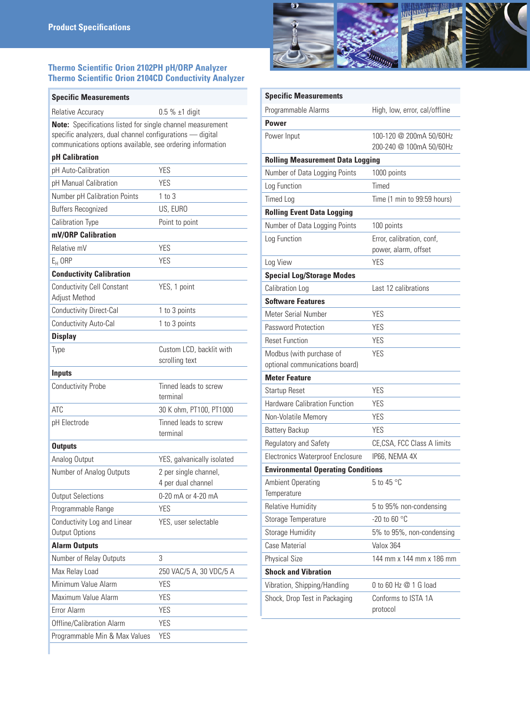### **Thermo Scientific Orion 2102PH pH/ORP Analyzer Thermo Scientific Orion 2104CD Conductivity Analyzer**

| <b>Specific Measurements</b>                                                                                                                                                          |                                             |
|---------------------------------------------------------------------------------------------------------------------------------------------------------------------------------------|---------------------------------------------|
| <b>Relative Accuracy</b>                                                                                                                                                              | $0.5 \% \pm 1$ digit                        |
| Note: Specifications listed for single channel measurement<br>specific analyzers, dual channel configurations - digital<br>communications options available, see ordering information |                                             |
| pH Calibration                                                                                                                                                                        |                                             |
| pH Auto-Calibration                                                                                                                                                                   | YES                                         |
| pH Manual Calibration                                                                                                                                                                 | <b>YFS</b>                                  |
| Number pH Calibration Points                                                                                                                                                          | $1$ to $3$                                  |
| <b>Buffers Recognized</b>                                                                                                                                                             | US, EURO                                    |
| Calibration Type                                                                                                                                                                      | Point to point                              |
| mV/ORP Calibration                                                                                                                                                                    |                                             |
| Relative mV                                                                                                                                                                           | YES                                         |
| $E_{H}$ ORP                                                                                                                                                                           | YES                                         |
| <b>Conductivity Calibration</b>                                                                                                                                                       |                                             |
| <b>Conductivity Cell Constant</b><br>Adjust Method                                                                                                                                    | YES, 1 point                                |
| Conductivity Direct-Cal                                                                                                                                                               | 1 to 3 points                               |
| Conductivity Auto-Cal                                                                                                                                                                 | 1 to 3 points                               |
| <b>Display</b>                                                                                                                                                                        |                                             |
| Type                                                                                                                                                                                  | Custom LCD, backlit with<br>scrolling text  |
| <b>Inputs</b>                                                                                                                                                                         |                                             |
| <b>Conductivity Probe</b>                                                                                                                                                             | Tinned leads to screw<br>terminal           |
| <b>ATC</b>                                                                                                                                                                            | 30 K ohm, PT100, PT1000                     |
| pH Electrode                                                                                                                                                                          | Tinned leads to screw<br>terminal           |
| <b>Outputs</b>                                                                                                                                                                        |                                             |
| Analog Output                                                                                                                                                                         | YES, galvanically isolated                  |
| Number of Analog Outputs                                                                                                                                                              | 2 per single channel,<br>4 per dual channel |
| <b>Output Selections</b>                                                                                                                                                              | 0-20 mA or 4-20 mA                          |
| Programmable Range                                                                                                                                                                    | <b>YES</b>                                  |
| Conductivity Log and Linear<br>Output Options                                                                                                                                         | YES, user selectable                        |
| <b>Alarm Outputs</b>                                                                                                                                                                  |                                             |
| Number of Relay Outputs                                                                                                                                                               | 3                                           |
| Max Relay Load                                                                                                                                                                        | 250 VAC/5 A, 30 VDC/5 A                     |
| Minimum Value Alarm                                                                                                                                                                   | <b>YES</b>                                  |
| Maximum Value Alarm                                                                                                                                                                   | YES                                         |
| Error Alarm                                                                                                                                                                           | <b>YES</b>                                  |
| Offline/Calibration Alarm                                                                                                                                                             | <b>YES</b>                                  |
| Programmable Min & Max Values                                                                                                                                                         | <b>YES</b>                                  |



| <b>Specific Measurements</b>                               |                                                    |
|------------------------------------------------------------|----------------------------------------------------|
| Programmable Alarms                                        | High, low, error, cal/offline                      |
| Power                                                      |                                                    |
| Power Input                                                | 100-120 @ 200mA 50/60Hz<br>200-240 @ 100mA 50/60Hz |
| <b>Rolling Measurement Data Logging</b>                    |                                                    |
| Number of Data Logging Points                              | 1000 points                                        |
| Log Function                                               | Timed                                              |
| <b>Timed Log</b>                                           | Time (1 min to 99:59 hours)                        |
| <b>Rolling Event Data Logging</b>                          |                                                    |
| Number of Data Logging Points                              | 100 points                                         |
| Log Function                                               | Error, calibration, conf,<br>power, alarm, offset  |
| Log View                                                   | <b>YES</b>                                         |
| <b>Special Log/Storage Modes</b>                           |                                                    |
| Calibration Log                                            | Last 12 calibrations                               |
| <b>Software Features</b>                                   |                                                    |
| Meter Serial Number                                        | YES                                                |
| Password Protection                                        | <b>YES</b>                                         |
| <b>Reset Function</b>                                      | <b>YES</b>                                         |
| Modbus (with purchase of<br>optional communications board) | <b>YES</b>                                         |
| <b>Meter Feature</b>                                       |                                                    |
| Startup Reset                                              | <b>YES</b>                                         |
| <b>Hardware Calibration Function</b>                       | YES                                                |
| Non-Volatile Memory                                        | <b>YES</b>                                         |
| <b>Battery Backup</b>                                      | <b>YES</b>                                         |
| Regulatory and Safety                                      | CE,CSA, FCC Class A limits                         |
| <b>Electronics Waterproof Enclosure</b>                    | IP66, NEMA 4X                                      |
| <b>Environmental Operating Conditions</b>                  |                                                    |
| Ambient Operating<br>Temperature                           | 5 to 45 °C                                         |
| <b>Relative Humidity</b>                                   | 5 to 95% non-condensing                            |
| Storage Temperature                                        | -20 to 60 $^{\circ}$ C                             |
| <b>Storage Humidity</b>                                    | 5% to 95%, non-condensing                          |
| Case Material                                              | Valox 364                                          |
| <b>Physical Size</b>                                       | 144 mm x 144 mm x 186 mm                           |
| <b>Shock and Vibration</b>                                 |                                                    |
| Vibration, Shipping/Handling                               | 0 to 60 Hz @ 1 G load                              |
| Shock, Drop Test in Packaging                              | Conforms to ISTA 1A<br>protocol                    |